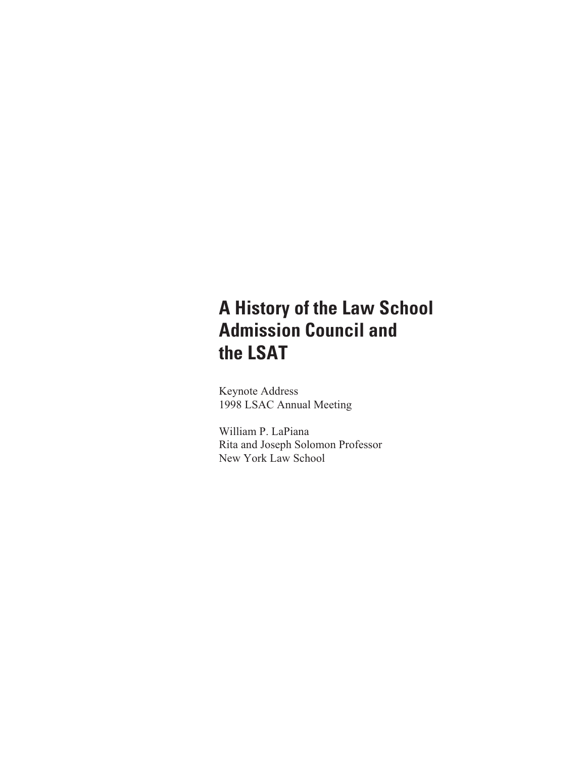## **A History of the Law School Admission Council and the LSAT**

Keynote Address 1998 LSAC Annual Meeting

William P. LaPiana Rita and Joseph Solomon Professor New York Law School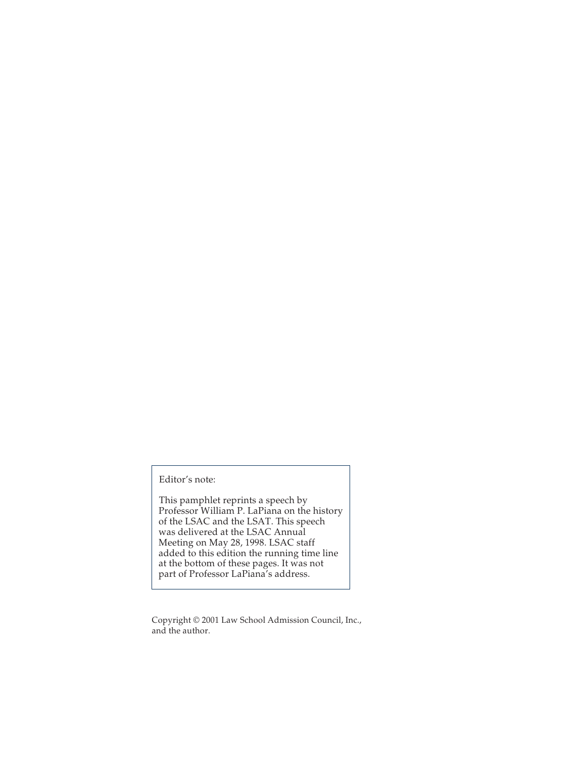Editor's note:

This pamphlet reprints a speech by Professor William P. LaPiana on the history of the LSAC and the LSAT. This speech was delivered at the LSAC Annual Meeting on May 28, 1998. LSAC staff added to this edition the running time line at the bottom of these pages. It was not part of Professor LaPiana's address.

Copyright © 2001 Law School Admission Council, Inc., and the author.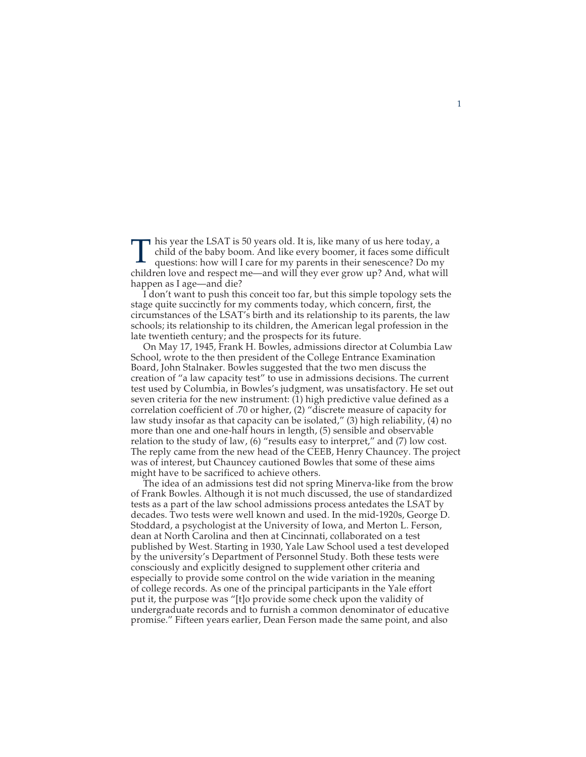This year the LSAT is 50 years old. It is, like many of us here today, a child of the baby boom. And like every boomer, it faces some difficult questions: how will I care for my parents in their senescence? Do my child of the baby boom. And like every boomer, it faces some difficult children love and respect me—and will they ever grow up? And, what will happen as I age—and die?

I don't want to push this conceit too far, but this simple topology sets the stage quite succinctly for my comments today, which concern, first, the circumstances of the LSAT's birth and its relationship to its parents, the law schools; its relationship to its children, the American legal profession in the late twentieth century; and the prospects for its future.

On May 17, 1945, Frank H. Bowles, admissions director at Columbia Law School, wrote to the then president of the College Entrance Examination Board, John Stalnaker. Bowles suggested that the two men discuss the creation of "a law capacity test" to use in admissions decisions. The current test used by Columbia, in Bowles's judgment, was unsatisfactory. He set out seven criteria for the new instrument: (1) high predictive value defined as a correlation coefficient of .70 or higher, (2) "discrete measure of capacity for law study insofar as that capacity can be isolated," (3) high reliability, (4) no more than one and one-half hours in length, (5) sensible and observable relation to the study of law, (6) "results easy to interpret," and (7) low cost. The reply came from the new head of the CEEB, Henry Chauncey. The project was of interest, but Chauncey cautioned Bowles that some of these aims might have to be sacrificed to achieve others.

The idea of an admissions test did not spring Minerva-like from the brow of Frank Bowles. Although it is not much discussed, the use of standardized tests as a part of the law school admissions process antedates the LSAT by decades. Two tests were well known and used. In the mid-1920s, George D. Stoddard, a psychologist at the University of Iowa, and Merton L. Ferson, dean at North Carolina and then at Cincinnati, collaborated on a test published by West. Starting in 1930, Yale Law School used a test developed by the university's Department of Personnel Study. Both these tests were consciously and explicitly designed to supplement other criteria and especially to provide some control on the wide variation in the meaning of college records. As one of the principal participants in the Yale effort put it, the purpose was "[t]o provide some check upon the validity of undergraduate records and to furnish a common denominator of educative promise." Fifteen years earlier, Dean Ferson made the same point, and also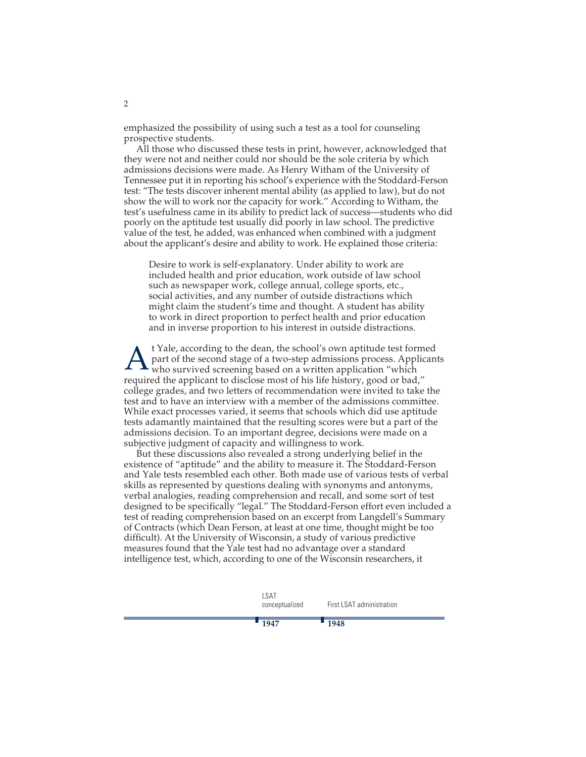emphasized the possibility of using such a test as a tool for counseling prospective students.

All those who discussed these tests in print, however, acknowledged that they were not and neither could nor should be the sole criteria by which admissions decisions were made. As Henry Witham of the University of Tennessee put it in reporting his school's experience with the Stoddard-Ferson test: "The tests discover inherent mental ability (as applied to law), but do not show the will to work nor the capacity for work." According to Witham, the test's usefulness came in its ability to predict lack of success—students who did poorly on the aptitude test usually did poorly in law school. The predictive value of the test, he added, was enhanced when combined with a judgment about the applicant's desire and ability to work. He explained those criteria:

Desire to work is self-explanatory. Under ability to work are included health and prior education, work outside of law school such as newspaper work, college annual, college sports, etc., social activities, and any number of outside distractions which might claim the student's time and thought. A student has ability to work in direct proportion to perfect health and prior education and in inverse proportion to his interest in outside distractions.

 $\Lambda$ <sup>t</sup> Yale, according to the dean, the school's own aptitude test formed<br>part of the second stage of a two-step admissions process. Applican<br>who survived screening based on a written application "which part of the second stage of a two-step admissions process. Applicants who survived screening based on a written application "which required the applicant to disclose most of his life history, good or bad," college grades, and two letters of recommendation were invited to take the test and to have an interview with a member of the admissions committee. While exact processes varied, it seems that schools which did use aptitude tests adamantly maintained that the resulting scores were but a part of the admissions decision. To an important degree, decisions were made on a subjective judgment of capacity and willingness to work.

But these discussions also revealed a strong underlying belief in the existence of "aptitude" and the ability to measure it. The Stoddard-Ferson and Yale tests resembled each other. Both made use of various tests of verbal skills as represented by questions dealing with synonyms and antonyms, verbal analogies, reading comprehension and recall, and some sort of test designed to be specifically "legal." The Stoddard-Ferson effort even included a test of reading comprehension based on an excerpt from Langdell's Summary of Contracts (which Dean Ferson, at least at one time, thought might be too difficult). At the University of Wisconsin, a study of various predictive measures found that the Yale test had no advantage over a standard intelligence test, which, according to one of the Wisconsin researchers, it

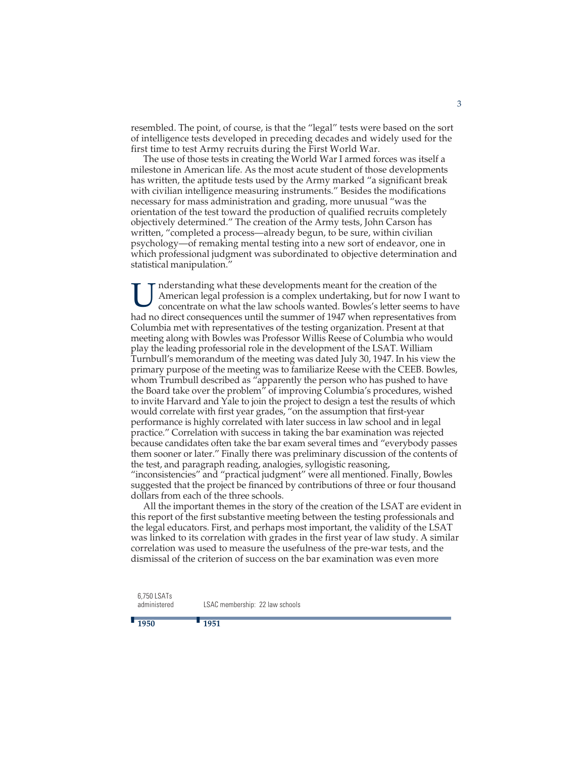resembled. The point, of course, is that the "legal" tests were based on the sort of intelligence tests developed in preceding decades and widely used for the first time to test Army recruits during the First World War.

The use of those tests in creating the World War I armed forces was itself a milestone in American life. As the most acute student of those developments has written, the aptitude tests used by the Army marked "a significant break with civilian intelligence measuring instruments." Besides the modifications necessary for mass administration and grading, more unusual "was the orientation of the test toward the production of qualified recruits completely objectively determined." The creation of the Army tests, John Carson has written, "completed a process—already begun, to be sure, within civilian psychology—of remaking mental testing into a new sort of endeavor, one in which professional judgment was subordinated to objective determination and statistical manipulation."

I nderstanding what these developments meant for the creation of the<br>
concentrate on what the law schools wanted. Bowles's letter seems to have<br>
hed no direct rate on what the law schools wanted. Bowles's letter seems to h American legal profession is a complex undertaking, but for now I want to had no direct consequences until the summer of 1947 when representatives from Columbia met with representatives of the testing organization. Present at that meeting along with Bowles was Professor Willis Reese of Columbia who would play the leading professorial role in the development of the LSAT. William Turnbull's memorandum of the meeting was dated July 30, 1947. In his view the primary purpose of the meeting was to familiarize Reese with the CEEB. Bowles, whom Trumbull described as "apparently the person who has pushed to have the Board take over the problem" of improving Columbia's procedures, wished to invite Harvard and Yale to join the project to design a test the results of which would correlate with first year grades, "on the assumption that first-year performance is highly correlated with later success in law school and in legal practice." Correlation with success in taking the bar examination was rejected because candidates often take the bar exam several times and "everybody passes them sooner or later." Finally there was preliminary discussion of the contents of the test, and paragraph reading, analogies, syllogistic reasoning, "inconsistencies" and "practical judgment" were all mentioned. Finally, Bowles

suggested that the project be financed by contributions of three or four thousand dollars from each of the three schools.

All the important themes in the story of the creation of the LSAT are evident in this report of the first substantive meeting between the testing professionals and the legal educators. First, and perhaps most important, the validity of the LSAT was linked to its correlation with grades in the first year of law study. A similar correlation was used to measure the usefulness of the pre-war tests, and the dismissal of the criterion of success on the bar examination was even more

6,750 LSATs administered

LSAC membership: 22 law schools

**<sup>1951</sup>**

## **<sup>1950</sup>**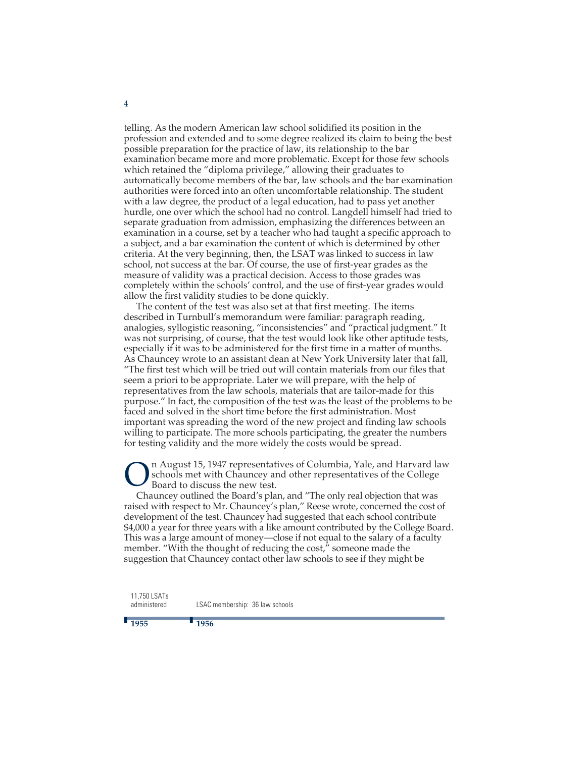telling. As the modern American law school solidified its position in the profession and extended and to some degree realized its claim to being the best possible preparation for the practice of law, its relationship to the bar examination became more and more problematic. Except for those few schools which retained the "diploma privilege," allowing their graduates to automatically become members of the bar, law schools and the bar examination authorities were forced into an often uncomfortable relationship. The student with a law degree, the product of a legal education, had to pass yet another hurdle, one over which the school had no control. Langdell himself had tried to separate graduation from admission, emphasizing the differences between an examination in a course, set by a teacher who had taught a specific approach to a subject, and a bar examination the content of which is determined by other criteria. At the very beginning, then, the LSAT was linked to success in law school, not success at the bar. Of course, the use of first-year grades as the measure of validity was a practical decision. Access to those grades was completely within the schools' control, and the use of first-year grades would allow the first validity studies to be done quickly.

The content of the test was also set at that first meeting. The items described in Turnbull's memorandum were familiar: paragraph reading, analogies, syllogistic reasoning, "inconsistencies" and "practical judgment." It was not surprising, of course, that the test would look like other aptitude tests, especially if it was to be administered for the first time in a matter of months. As Chauncey wrote to an assistant dean at New York University later that fall, "The first test which will be tried out will contain materials from our files that seem a priori to be appropriate. Later we will prepare, with the help of representatives from the law schools, materials that are tailor-made for this purpose." In fact, the composition of the test was the least of the problems to be faced and solved in the short time before the first administration. Most important was spreading the word of the new project and finding law schools willing to participate. The more schools participating, the greater the numbers for testing validity and the more widely the costs would be spread.

**On August 15, 1947 representatives of Columbia, Yale, and Harvard law**<br>Board to discuss the new test.<br>Channel William and "The exhause labitation the tensor" schools met with Chauncey and other representatives of the College Board to discuss the new test.

Chauncey outlined the Board's plan, and "The only real objection that was raised with respect to Mr. Chauncey's plan," Reese wrote, concerned the cost of development of the test. Chauncey had suggested that each school contribute \$4,000 a year for three years with a like amount contributed by the College Board. This was a large amount of money—close if not equal to the salary of a faculty member. "With the thought of reducing the cost," someone made the suggestion that Chauncey contact other law schools to see if they might be

11,750 LSATs administered

LSAC membership: 36 law schools

## **<sup>1955</sup>**

**<sup>1956</sup>**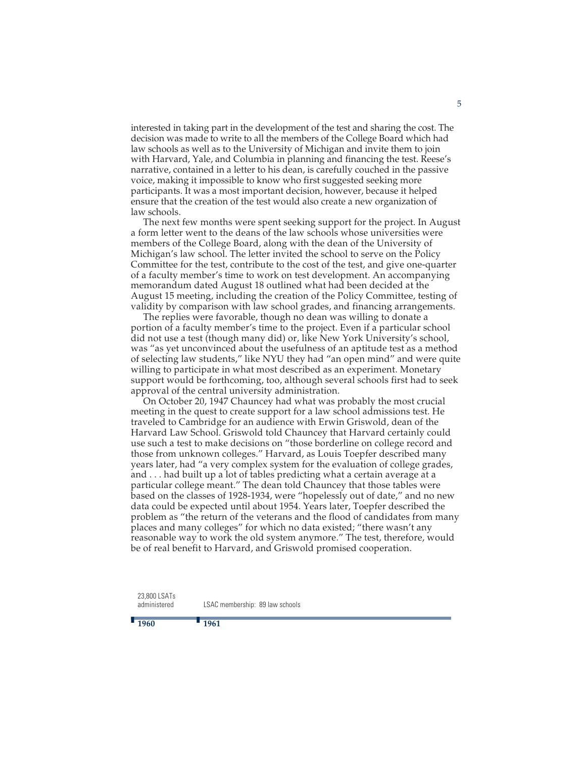interested in taking part in the development of the test and sharing the cost. The decision was made to write to all the members of the College Board which had law schools as well as to the University of Michigan and invite them to join with Harvard, Yale, and Columbia in planning and financing the test. Reese's narrative, contained in a letter to his dean, is carefully couched in the passive voice, making it impossible to know who first suggested seeking more participants. It was a most important decision, however, because it helped ensure that the creation of the test would also create a new organization of law schools.

The next few months were spent seeking support for the project. In August a form letter went to the deans of the law schools whose universities were members of the College Board, along with the dean of the University of Michigan's law school. The letter invited the school to serve on the Policy Committee for the test, contribute to the cost of the test, and give one-quarter of a faculty member's time to work on test development. An accompanying memorandum dated August 18 outlined what had been decided at the August 15 meeting, including the creation of the Policy Committee, testing of validity by comparison with law school grades, and financing arrangements.

The replies were favorable, though no dean was willing to donate a portion of a faculty member's time to the project. Even if a particular school did not use a test (though many did) or, like New York University's school, was "as yet unconvinced about the usefulness of an aptitude test as a method of selecting law students," like NYU they had "an open mind" and were quite willing to participate in what most described as an experiment. Monetary support would be forthcoming, too, although several schools first had to seek approval of the central university administration.

On October 20, 1947 Chauncey had what was probably the most crucial meeting in the quest to create support for a law school admissions test. He traveled to Cambridge for an audience with Erwin Griswold, dean of the Harvard Law School. Griswold told Chauncey that Harvard certainly could use such a test to make decisions on "those borderline on college record and those from unknown colleges." Harvard, as Louis Toepfer described many years later, had "a very complex system for the evaluation of college grades, and . . . had built up a lot of tables predicting what a certain average at a particular college meant." The dean told Chauncey that those tables were based on the classes of 1928-1934, were "hopelessly out of date," and no new data could be expected until about 1954. Years later, Toepfer described the problem as "the return of the veterans and the flood of candidates from many places and many colleges" for which no data existed; "there wasn't any reasonable way to work the old system anymore." The test, therefore, would be of real benefit to Harvard, and Griswold promised cooperation.

23,800 LSATs administered

**<sup>1960</sup>**

LSAC membership: 89 law schools

**<sup>1961</sup>**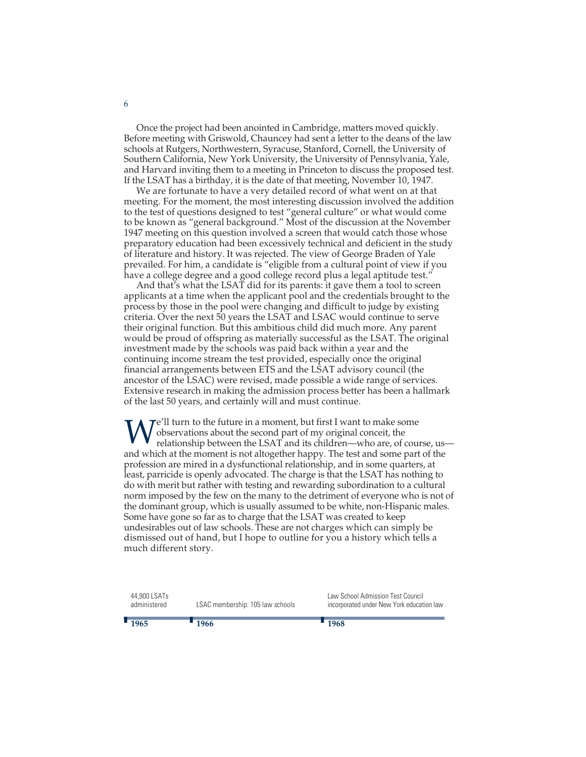Once the project had been anointed in Cambridge, matters moved quickly. Before meeting with Griswold, Chauncey had sent a letter to the deans of the law schools at Rutgers, Northwestern, Syracuse, Stanford, Cornell, the University of Southern California, New York University, the University of Pennsylvania, Yale, and Harvard inviting them to a meeting in Princeton to discuss the proposed test. If the LSAT has a birthday, it is the date of that meeting, November 10, 1947.

We are fortunate to have a very detailed record of what went on at that meeting. For the moment, the most interesting discussion involved the addition to the test of questions designed to test "general culture" or what would come to be known as "general background." Most of the discussion at the November 1947 meeting on this question involved a screen that would catch those whose preparatory education had been excessively technical and deficient in the study of literature and history. It was rejected. The view of George Braden of Yale prevailed. For him, a candidate is "eligible from a cultural point of view if you have a college degree and a good college record plus a legal aptitude test."

And that's what the LSAT did for its parents: it gave them a tool to screen applicants at a time when the applicant pool and the credentials brought to the process by those in the pool were changing and difficult to judge by existing criteria. Over the next 50 years the LSAT and LSAC would continue to serve their original function. But this ambitious child did much more. Any parent would be proud of offspring as materially successful as the LSAT. The original investment made by the schools was paid back within a year and the continuing income stream the test provided, especially once the original financial arrangements between ETS and the LSAT advisory council (the ancestor of the LSAC) were revised, made possible a wide range of services. Extensive research in making the admission process better has been a hallmark of the last 50 years, and certainly will and must continue.

 $\mathcal{T}e$ 'll turn to the future in a moment, but first I want to make some observations about the second part of my original conceit, the relationship between the LSAT and its children—who are, of course, us and which at the moment is not altogether happy. The test and some part of the profession are mired in a dysfunctional relationship, and in some quarters, at least, parricide is openly advocated. The charge is that the LSAT has nothing to do with merit but rather with testing and rewarding subordination to a cultural norm imposed by the few on the many to the detriment of everyone who is not of the dominant group, which is usually assumed to be white, non-Hispanic males. Some have gone so far as to charge that the LSAT was created to keep undesirables out of law schools. These are not charges which can simply be dismissed out of hand, but I hope to outline for you a history which tells a much different story.

| $-1965$ |                              | $-1966$                          | $-1968$                                                                        |
|---------|------------------------------|----------------------------------|--------------------------------------------------------------------------------|
|         | 44,900 LSATs<br>administered | LSAC membership: 105 law schools | Law School Admission Test Council<br>incorporated under New York education law |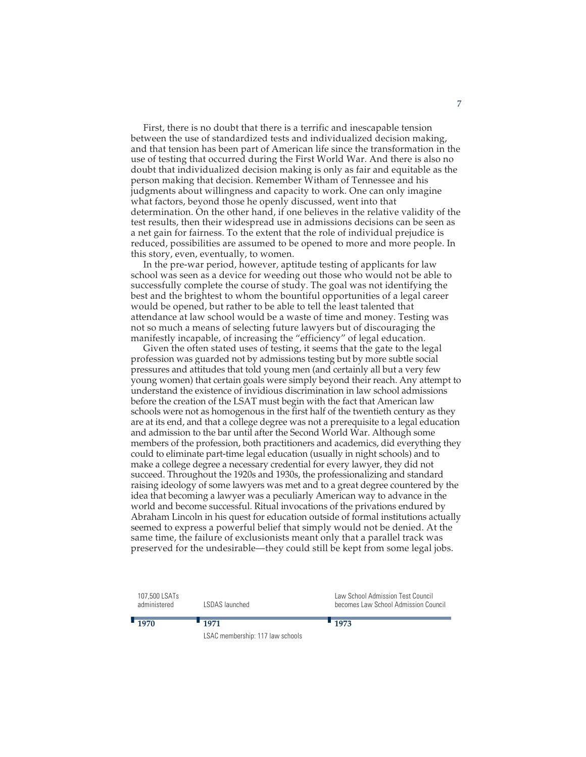First, there is no doubt that there is a terrific and inescapable tension between the use of standardized tests and individualized decision making, and that tension has been part of American life since the transformation in the use of testing that occurred during the First World War. And there is also no doubt that individualized decision making is only as fair and equitable as the person making that decision. Remember Witham of Tennessee and his judgments about willingness and capacity to work. One can only imagine what factors, beyond those he openly discussed, went into that determination. On the other hand, if one believes in the relative validity of the test results, then their widespread use in admissions decisions can be seen as a net gain for fairness. To the extent that the role of individual prejudice is reduced, possibilities are assumed to be opened to more and more people. In this story, even, eventually, to women.

In the pre-war period, however, aptitude testing of applicants for law school was seen as a device for weeding out those who would not be able to successfully complete the course of study. The goal was not identifying the best and the brightest to whom the bountiful opportunities of a legal career would be opened, but rather to be able to tell the least talented that attendance at law school would be a waste of time and money. Testing was not so much a means of selecting future lawyers but of discouraging the manifestly incapable, of increasing the "efficiency" of legal education.

Given the often stated uses of testing, it seems that the gate to the legal profession was guarded not by admissions testing but by more subtle social pressures and attitudes that told young men (and certainly all but a very few young women) that certain goals were simply beyond their reach. Any attempt to understand the existence of invidious discrimination in law school admissions before the creation of the LSAT must begin with the fact that American law schools were not as homogenous in the first half of the twentieth century as they are at its end, and that a college degree was not a prerequisite to a legal education and admission to the bar until after the Second World War. Although some members of the profession, both practitioners and academics, did everything they could to eliminate part-time legal education (usually in night schools) and to make a college degree a necessary credential for every lawyer, they did not succeed. Throughout the 1920s and 1930s, the professionalizing and standard raising ideology of some lawyers was met and to a great degree countered by the idea that becoming a lawyer was a peculiarly American way to advance in the world and become successful. Ritual invocations of the privations endured by Abraham Lincoln in his quest for education outside of formal institutions actually seemed to express a powerful belief that simply would not be denied. At the same time, the failure of exclusionists meant only that a parallel track was preserved for the undesirable—they could still be kept from some legal jobs.

| 107,500 LSATs<br>administered | LSDAS launched                   | Law School Admission Test Council<br>becomes Law School Admission Council |
|-------------------------------|----------------------------------|---------------------------------------------------------------------------|
| 1970                          | $-1971$                          | $-1973$                                                                   |
|                               | LSAC membership: 117 law schools |                                                                           |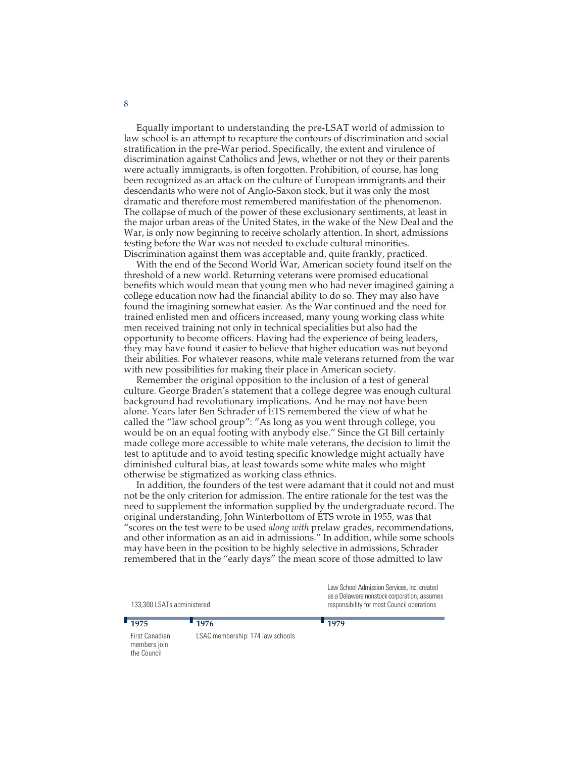Equally important to understanding the pre-LSAT world of admission to law school is an attempt to recapture the contours of discrimination and social stratification in the pre-War period. Specifically, the extent and virulence of discrimination against Catholics and Jews, whether or not they or their parents were actually immigrants, is often forgotten. Prohibition, of course, has long been recognized as an attack on the culture of European immigrants and their descendants who were not of Anglo-Saxon stock, but it was only the most dramatic and therefore most remembered manifestation of the phenomenon. The collapse of much of the power of these exclusionary sentiments, at least in the major urban areas of the United States, in the wake of the New Deal and the War, is only now beginning to receive scholarly attention. In short, admissions testing before the War was not needed to exclude cultural minorities. Discrimination against them was acceptable and, quite frankly, practiced.

With the end of the Second World War, American society found itself on the threshold of a new world. Returning veterans were promised educational benefits which would mean that young men who had never imagined gaining a college education now had the financial ability to do so. They may also have found the imagining somewhat easier. As the War continued and the need for trained enlisted men and officers increased, many young working class white men received training not only in technical specialities but also had the opportunity to become officers. Having had the experience of being leaders, they may have found it easier to believe that higher education was not beyond their abilities. For whatever reasons, white male veterans returned from the war with new possibilities for making their place in American society.

Remember the original opposition to the inclusion of a test of general culture. George Braden's statement that a college degree was enough cultural background had revolutionary implications. And he may not have been alone. Years later Ben Schrader of ETS remembered the view of what he called the "law school group": "As long as you went through college, you would be on an equal footing with anybody else." Since the GI Bill certainly made college more accessible to white male veterans, the decision to limit the test to aptitude and to avoid testing specific knowledge might actually have diminished cultural bias, at least towards some white males who might otherwise be stigmatized as working class ethnics.

In addition, the founders of the test were adamant that it could not and must not be the only criterion for admission. The entire rationale for the test was the need to supplement the information supplied by the undergraduate record. The original understanding, John Winterbottom of ETS wrote in 1955, was that "scores on the test were to be used *along with* prelaw grades, recommendations, and other information as an aid in admissions." In addition, while some schools may have been in the position to be highly selective in admissions, Schrader remembered that in the "early days" the mean score of those admitted to law

133,300 LSATs administered **<sup>1975</sup> <sup>1976</sup>** Law School Admission Services, Inc. created as a Delaware nonstock corporation, assumes responsibility for most Council operations **<sup>1979</sup>**

First Canadian members join the Council

LSAC membership: 174 law schools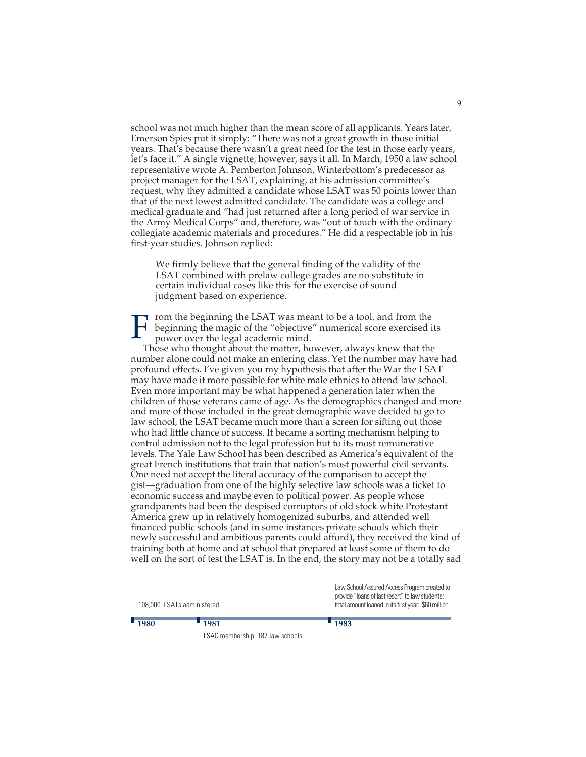school was not much higher than the mean score of all applicants. Years later, Emerson Spies put it simply: "There was not a great growth in those initial years. That's because there wasn't a great need for the test in those early years, let's face it." A single vignette, however, says it all. In March, 1950 a law school representative wrote A. Pemberton Johnson, Winterbottom's predecessor as project manager for the LSAT, explaining, at his admission committee's request, why they admitted a candidate whose LSAT was 50 points lower than that of the next lowest admitted candidate. The candidate was a college and medical graduate and "had just returned after a long period of war service in the Army Medical Corps" and, therefore, was "out of touch with the ordinary collegiate academic materials and procedures." He did a respectable job in his first-year studies. Johnson replied:

We firmly believe that the general finding of the validity of the LSAT combined with prelaw college grades are no substitute in certain individual cases like this for the exercise of sound judgment based on experience.

F rom the beginning the LSAT was meant to be a tool, and from the beginning the magic of the "objective" numerical score exercised is power over the legal academic mind. beginning the magic of the "objective" numerical score exercised its power over the legal academic mind.

Those who thought about the matter, however, always knew that the number alone could not make an entering class. Yet the number may have had profound effects. I've given you my hypothesis that after the War the LSAT may have made it more possible for white male ethnics to attend law school. Even more important may be what happened a generation later when the children of those veterans came of age. As the demographics changed and more and more of those included in the great demographic wave decided to go to law school, the LSAT became much more than a screen for sifting out those who had little chance of success. It became a sorting mechanism helping to control admission not to the legal profession but to its most remunerative levels. The Yale Law School has been described as America's equivalent of the great French institutions that train that nation's most powerful civil servants. One need not accept the literal accuracy of the comparison to accept the gist—graduation from one of the highly selective law schools was a ticket to economic success and maybe even to political power. As people whose grandparents had been the despised corruptors of old stock white Protestant America grew up in relatively homogenized suburbs, and attended well financed public schools (and in some instances private schools which their newly successful and ambitious parents could afford), they received the kind of training both at home and at school that prepared at least some of them to do well on the sort of test the LSAT is. In the end, the story may not be a totally sad

| 108,000 LSATs administered |                                  | Law School Assured Access Program created to<br>provide "loans of last resort" to law students;<br>total amount loaned in its first year: \$60 million |
|----------------------------|----------------------------------|--------------------------------------------------------------------------------------------------------------------------------------------------------|
| $\blacksquare$ 1980        | $-1981$                          | $-1983$                                                                                                                                                |
|                            | LSAC membership: 187 law schools |                                                                                                                                                        |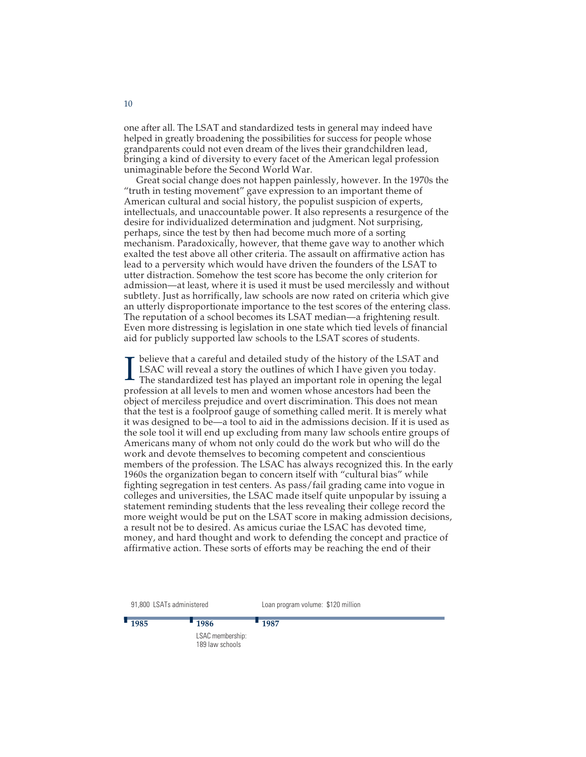one after all. The LSAT and standardized tests in general may indeed have helped in greatly broadening the possibilities for success for people whose grandparents could not even dream of the lives their grandchildren lead, bringing a kind of diversity to every facet of the American legal profession unimaginable before the Second World War.

Great social change does not happen painlessly, however. In the 1970s the "truth in testing movement" gave expression to an important theme of American cultural and social history, the populist suspicion of experts, intellectuals, and unaccountable power. It also represents a resurgence of the desire for individualized determination and judgment. Not surprising, perhaps, since the test by then had become much more of a sorting mechanism. Paradoxically, however, that theme gave way to another which exalted the test above all other criteria. The assault on affirmative action has lead to a perversity which would have driven the founders of the LSAT to utter distraction. Somehow the test score has become the only criterion for admission—at least, where it is used it must be used mercilessly and without subtlety. Just as horrifically, law schools are now rated on criteria which give an utterly disproportionate importance to the test scores of the entering class. The reputation of a school becomes its LSAT median—a frightening result. Even more distressing is legislation in one state which tied levels of financial aid for publicly supported law schools to the LSAT scores of students.

I believe that a careful and detailed study of the history of the LSAT and LSAC will reveal a story the outlines of which I have given you today.<br>The standardized test has played an important role in opening the legal believe that a careful and detailed study of the history of the LSAT and LSAC will reveal a story the outlines of which I have given you today. profession at all levels to men and women whose ancestors had been the object of merciless prejudice and overt discrimination. This does not mean that the test is a foolproof gauge of something called merit. It is merely what it was designed to be—a tool to aid in the admissions decision. If it is used as the sole tool it will end up excluding from many law schools entire groups of Americans many of whom not only could do the work but who will do the work and devote themselves to becoming competent and conscientious members of the profession. The LSAC has always recognized this. In the early 1960s the organization began to concern itself with "cultural bias" while fighting segregation in test centers. As pass/fail grading came into vogue in colleges and universities, the LSAC made itself quite unpopular by issuing a statement reminding students that the less revealing their college record the more weight would be put on the LSAT score in making admission decisions, a result not be to desired. As amicus curiae the LSAC has devoted time, money, and hard thought and work to defending the concept and practice of affirmative action. These sorts of efforts may be reaching the end of their

91,800 LSATs administered **<sup>1985</sup> <sup>1986</sup>** LSAC membership: 189 law schools Loan program volume: \$120 million **<sup>1987</sup>**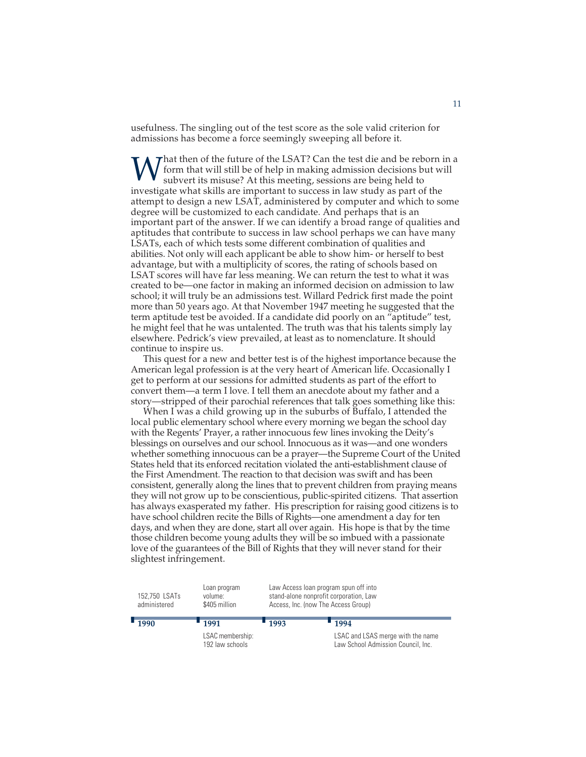usefulness. The singling out of the test score as the sole valid criterion for admissions has become a force seemingly sweeping all before it.

What then of the future of the LSAT? Can the test die and be reborn in a subvert its misuse? At this meeting, sessions are being held to investigate what will subvert its misuse? At this meeting, sessions are being held t form that will still be of help in making admission decisions but will subvert its misuse? At this meeting, sessions are being held to investigate what skills are important to success in law study as part of the attempt to design a new LSAT, administered by computer and which to some degree will be customized to each candidate. And perhaps that is an important part of the answer. If we can identify a broad range of qualities and aptitudes that contribute to success in law school perhaps we can have many LSATs, each of which tests some different combination of qualities and abilities. Not only will each applicant be able to show him- or herself to best advantage, but with a multiplicity of scores, the rating of schools based on LSAT scores will have far less meaning. We can return the test to what it was created to be—one factor in making an informed decision on admission to law school; it will truly be an admissions test. Willard Pedrick first made the point more than 50 years ago. At that November 1947 meeting he suggested that the term aptitude test be avoided. If a candidate did poorly on an "aptitude" test, he might feel that he was untalented. The truth was that his talents simply lay elsewhere. Pedrick's view prevailed, at least as to nomenclature. It should continue to inspire us.

This quest for a new and better test is of the highest importance because the American legal profession is at the very heart of American life. Occasionally I get to perform at our sessions for admitted students as part of the effort to convert them—a term I love. I tell them an anecdote about my father and a story—stripped of their parochial references that talk goes something like this:

When I was a child growing up in the suburbs of Buffalo, I attended the local public elementary school where every morning we began the school day with the Regents' Prayer, a rather innocuous few lines invoking the Deity's blessings on ourselves and our school. Innocuous as it was—and one wonders whether something innocuous can be a prayer—the Supreme Court of the United States held that its enforced recitation violated the anti-establishment clause of the First Amendment. The reaction to that decision was swift and has been consistent, generally along the lines that to prevent children from praying means they will not grow up to be conscientious, public-spirited citizens. That assertion has always exasperated my father. His prescription for raising good citizens is to have school children recite the Bills of Rights—one amendment a day for ten days, and when they are done, start all over again. His hope is that by the time those children become young adults they will be so imbued with a passionate love of the guarantees of the Bill of Rights that they will never stand for their slightest infringement.